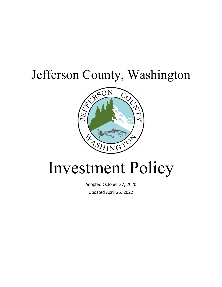# Jefferson County, Washington



# Investment Policy

Adopted October 27, 2020 Updated April 26, 2022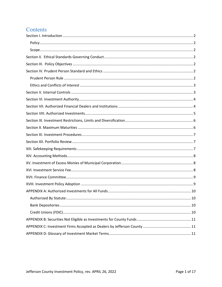# Contents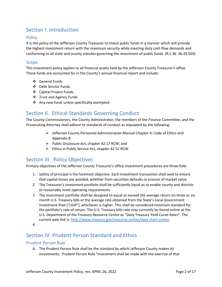# <span id="page-2-0"></span>Section I. Introduction

#### <span id="page-2-1"></span>**Policy**

It is the policy of the Jefferson County Treasurer to invest public funds in a manner which will provide the highest investment return with the maximum security while meeting daily cash flow demands and conforming to all state and county statutes governing the investment of public funds. (R.C.W. 36.29.020)

#### <span id="page-2-2"></span>Scope

This investment policy applies to all financial assets held by the Jefferson County Treasurer's office. These funds are accounted for in the County's annual financial report and include:

- General Funds
- Debt Service Funds
- Capital Project Funds
- Trust and Agency Funds
- ❖ Any new fund, unless specifically exempted

## <span id="page-2-3"></span>Section II. Ethical Standards Governing Conduct

The County Commissioners, the County Administrator, the members of the Finance Committee, and the Prosecuting Attorney shall adhere to standards of conduct as stipulated by the following:

- $\triangleright$  Jefferson County Personnel Administration Manual Chapter 4; Code of Ethics and Appendix B
- $\triangleright$  Public Disclosure Act, chapter 42.17 RCW; and
- $\triangleright$  Ethics in Public Service Act, chapter 42.52 RCW.

## <span id="page-2-4"></span>Section III. Policy Objectives

Primary objectives of the Jefferson County Treasurer's office investment procedures are three-fold:

- 1. Safety of principal is the foremost objective. Each investment transaction shall seek to ensure that capital losses are avoided, whether from securities defaults or erosion of market value.
- 2. The Treasurer's investment portfolio shall be sufficiently liquid as to enable county and districts to reasonably meet operating requirements.
- 3. The investment portfolio shall be designed to equal or exceed the average return on three or six month U.S. Treasury bills or the average rate obtained from the State's Local Government Investment Pool ("LGIP"), whichever is higher. This shall be considered minimum standard for the portfolio's rate of return. The U.S. Treasury bills rate may currently be found online at the U.S. Department of the Treasury Resource Center as "Daily Treasury Yield Curve Rates". The current web link is[: http://www.treasury.gov/resource-center/data-chart-center.](https://lnks.gd/l/eyJhbGciOiJIUzI1NiJ9.eyJlbWFpbCI6InNwcmFkYUBjby5qZWZmZXJzb24ud2EudXMiLCJidWxsZXRpbl9saW5rX2lkIjoiMTAxIiwic3Vic2NyaWJlcl9pZCI6IjEyMjI4NzcyNTkiLCJsaW5rX2lkIjoiNjAyMzY0NCIsInVyaSI6ImJwMjpkaWdlc3QiLCJ1cmwiOiJodHRwOi8vd3d3LnRyZWFzdXJ5Lmdvdi9yZXNvdXJjZS1jZW50ZXIvZGF0YS1jaGFydC1jZW50ZXIvaW50ZXJlc3QtcmF0ZXMvUGFnZXMvVGV4dFZpZXcuYXNweD9kYXRhPXJlYWx5aWVsZCIsImJ1bGxldGluX2lkIjoiMjAyMDEwMjEuMjkxNTEyODEifQ.4S8titziTFDweHIh1FM8KsBoEaie2vzGkwBuZxxENUg)

## <span id="page-2-5"></span>Section IV. Prudent Person Standard and Ethics

#### <span id="page-2-6"></span>Prudent Person Rule

A. The Prudent Person Rule shall be the standard by which Jefferson County makes its' investments. Prudent Person Rule "Investment shall be made with the exercise of that

<sup>4.</sup>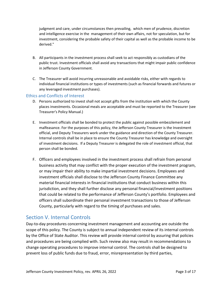judgment and care, under circumstances then prevailing, which men of prudence, discretion and intelligence exercise in the management of their own affairs, not for speculation, but for investment, considering the probable safety of their capital as well as the probable income to be derived."

- B. All participants in the investment process shall seek to act responsibly as custodians of the public trust. Investment officials shall avoid any transactions that might impair public confidence in Jefferson County Government.
- C. The Treasurer will avoid incurring unreasonable and avoidable risks, either with regards to individual financial institutions or types of investments (such as financial forwards and futures or any leveraged investment purchases).

#### <span id="page-3-0"></span>Ethics and Conflicts of Interest

- D. Persons authorized to invest shall not accept gifts from the institution with which the County places investments. Occasional meals are acceptable and must be reported to the Treasurer (see Treasurer's Policy Manual.)
- E. Investment officials shall be bonded to protect the public against possible embezzlement and malfeasance. For the purposes of this policy, the Jefferson County Treasurer is the Investment official, and Deputy Treasurers work under the guidance and direction of the County Treasurer. Internal controls shall be in place to ensure the County Treasurer has knowledge and oversight of investment decisions. If a Deputy Treasurer is delegated the role of investment official, that person shall be bonded.
- F. Officers and employees involved in the investment process shall refrain from personal business activity that may conflict with the proper execution of the investment program, or may impair their ability to make impartial investment decisions. Employees and investment officials shall disclose to the Jefferson County Finance Committee any material financial interests in financial institutions that conduct business within this jurisdiction, and they shall further disclose any personal financial/investment positions that could be related to the performance of Jefferson County's portfolio. Employees and officers shall subordinate their personal investment transactions to those of Jefferson County, particularly with regard to the timing of purchases and sales.

#### <span id="page-3-1"></span>Section V. Internal Controls

Day-to-day procedures concerning investment management and accounting are outside the scope of this policy. The County is subject to annual independent review of its internal controls by the Office of State Auditor. This review will provide internal control by assuring that policies and procedures are being complied with. Such review also may result in recommendations to change operating procedures to improve internal control. The controls shall be designed to prevent loss of public funds due to fraud, error, misrepresentation by third parties,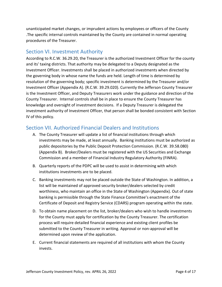unanticipated market changes, or imprudent actions by employees or officers of the County .The specific internal controls maintained by the County are contained in normal operating procedures of the Treasurer.

#### <span id="page-4-0"></span>Section VI. Investment Authority

According to R.C.W. 36.29.20, the Treasurer is the authorized Investment Officer for the county and its' taxing districts. That authority may be delegated to a Deputy designated as the Investment Officer. Investments shall be placed in authorized investments when directed by the governing body in whose name the funds are held. Length of time is determined by resolution of the governing body; specific investment is determined by the Treasurer and/or Investment Officer (Appendix A). (R.C.W. 39.29.020). Currently the Jefferson County Treasurer is the Investment Officer, and Deputy Treasurers work under the guidance and direction of the County Treasurer. Internal controls shall be in place to ensure the County Treasurer has knowledge and oversight of investment decisions. If a Deputy Treasurer is delegated the investment authority of Investment Officer, that person shall be bonded consistent with Section IV of this policy.

## <span id="page-4-1"></span>Section VII. Authorized Financial Dealers and Institutions

- A. The County Treasurer will update a list of financial institutions through which investments may be made, at least annually. Banking institutions must be authorized as public depositories by the Public Deposit Protection Commission. (R.C.W. 39.58.080) (Appendix B). Broker/Dealers must be registered with the US Securities and Exchange Commission and a member of Financial Industry Regulatory Authority (FINRA).
- B. Quarterly reports of the PDPC will be used to assist in determining with which institutions investments are to be placed.
- C. Banking investments may not be placed outside the State of Washington. In addition, a list will be maintained of approved security broker/dealers selected by credit worthiness, who maintain an office in the State of Washington (Appendix). Out of state banking is permissible through the State Finance Committee's enactment of the Certificate of Deposit and Registry Service (CDARS) program operating within the state.
- D. To obtain name placement on the list, broker/dealers who wish to handle investments for the County must apply for certification by the County Treasurer. The certification process will require detailed financial experience and existing client profiles be submitted to the County Treasurer in writing. Approval or non-approval will be determined upon review of the application.
- E. Current financial statements are required of all institutions with whom the County invests.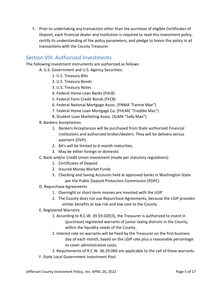F. Prior to undertaking any transaction other than the purchase of eligible Certificates of Deposit, each financial dealer and institution is required to read this investment policy, certify its understanding of the policy parameters, and pledge to honor the policy in all transactions with the County Treasurer.

#### <span id="page-5-0"></span>Section VIII. Authorized Investments

The following investment instruments are authorized as follows:

- A. U.S. Government and U.S. Agency Securities:
	- 1. U.S. Treasury Bills
	- 2. U.S. Treasury Bonds
	- 3. U.S. Treasury Notes
	- 4. Federal Home Loan Banks (FHLB)
	- 5. Federal Farm Credit Bonds (FFCB)
	- 6. Federal National Mortgage Assoc. (FNMA "Fannie Mae")
	- 7. Federal Home Loan Mortgage Co. (FHLMC "Freddie Mac")
	- 8. Student Loan Marketing Assoc. (SLMA "Sally Mae")
- B. Bankers Acceptances
	- 1. Bankers Acceptances will be purchased from State authorized Financial institutions and authorized broker/dealers. They will be delivery versus payment (DVP).
	- 2. BA's will be limited to 6-month maturities.
	- 3. May be either foreign or domestic
- C. Bank and/or Credit Union Investment (made per statutory regulations)
	- 1. Certificates of Deposit
	- 2. Insured Money Market Funds
	- 3. Checking and Saving Accounts held at approved banks in Washington State per the Public Deposit Protection Commission (PDPC)
- D. Repurchase Agreements
	- 1. Overnight or short-term monies are invested with the LGIP
	- 2. The County does not use Repurchase Agreements, because the LGIP provides similar benefits at low risk and low cost to the County.
- E. Registered Warrants
	- 1. According to R.C.W. 39.59.020(3), the Treasurer is authorized to invest in (purchase) registered warrants of junior taxing districts in the County, within the liquidity needs of the County.
	- 2. Interest rate on warrants will be fixed by the Treasurer on the first business day of each month, based on the LGIP rate plus a reasonable percentage to cover administrative costs.
	- 3. Requirements of R.C.W. 36.29.060 are applicable to the call of these warrants.
- F. State Local Government Investment Pool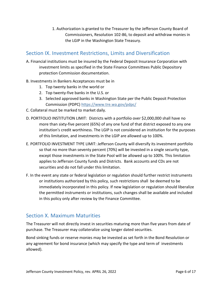1. Authorization is granted to the Treasurer by the Jefferson County Board of Commissioners, Resolution 102-86, to deposit and withdraw monies in the LGIP in the Washington State Treasury.

# <span id="page-6-0"></span>Section IX. Investment Restrictions, Limits and Diversification

- A. Financial institutions must be insured by the Federal Deposit Insurance Corporation with investment limits as specified in the State Finance Committees Public Depository protection Commission documentation.
- B. Investments in Bankers Acceptances must be in
	- 1. Top twenty banks in the world or
	- 2. Top twenty-five banks in the U.S. or
	- 3. Selected approved banks in Washington State per the Public Deposit Protection Commission (PDPC)<https://www.tre.wa.gov/pdpc/>
- C. Collateral must be marked to market daily.
- D. PORTFOLIO INSTITUTION LIMIT: Districts with a portfolio over \$2,000,000 shall have no more than sixty-five percent (65%) of any one fund of that district exposed to any one institution's credit worthiness. The LGIP is not considered an institution for the purposes of this limitation, and investments in the LGIP are allowed up to 100%.
- E. PORTFOLIO INVESTMENT TYPE LIMIT: Jefferson County will diversify its investment portfolio so that no more than seventy percent (70%) will be invested in a single security type, except those investments in the State Pool will be allowed up to 100%. This limitation applies to Jefferson County funds and Districts. Bank accounts and CDs are not securities and do not fall under this limitation.
- F. In the event any state or federal legislation or regulation should further restrict instruments or institutions authorized by this policy, such restrictions shall be deemed to be immediately incorporated in this policy. If new legislation or regulation should liberalize the permitted instruments or institutions, such changes shall be available and included in this policy only after review by the Finance Committee.

## <span id="page-6-1"></span>Section X. Maximum Maturities

The Treasurer will not directly invest in securities maturing more than five years from date of purchase. The Treasurer may collateralize using longer dated securities.

Bond sinking funds or reserve monies may be invested as set forth in the Bond Resolution or any agreement for bond insurance (which may specify the type and term of investments allowed).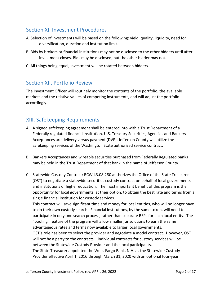# <span id="page-7-0"></span>Section XI. Investment Procedures

- A. Selection of investments will be based on the following: yield, quality, liquidity, need for diversification, duration and institution limit.
- B. Bids by brokers or financial institutions may not be disclosed to the other bidders until after investment closes. Bids may be disclosed, but the other bidder may not.
- C. All things being equal, investment will be rotated between bidders.

#### <span id="page-7-1"></span>Section XII. Portfolio Review

The Investment Officer will routinely monitor the contents of the portfolio, the available markets and the relative values of competing instruments, and will adjust the portfolio accordingly.

#### <span id="page-7-2"></span>XIII. Safekeeping Requirements

- A. A signed safekeeping agreement shall be entered into with a Trust Department of a Federally regulated financial institution. U.S. Treasury Securities, Agencies and Bankers Acceptances are delivery versus payment (DVP). Jefferson County will utilize the safekeeping services of the Washington State authorized service contract.
- B. Bankers Acceptances and wireable securities purchased from Federally Regulated banks may be held in the Trust Department of that bank in the name of Jefferson County.
- C. Statewide Custody Contract: [RCW 43.08.280](http://apps.leg.wa.gov/RCW/default.aspx?cite=43.08.280) authorizes the Office of the State Treasurer (OST) to negotiate a statewide securities custody contract on behalf of local governments and institutions of higher education. The most important benefit of this program is the opportunity for local governments, at their option, to obtain the best rate and terms from a single financial institution for custody services.

This contract will save significant time and money for local entities, who will no longer have to do their own custody search. Financial institutions, by the same token, will need to participate in only one search process, rather than separate RFPs for each local entity. The "pooling" feature of the program will allow smaller jurisdictions to earn the same advantageous rates and terms now available to larger local governments. OST's role has been to select the provider and negotiate a model contract. However, OST will not be a party to the contracts – individual contracts for custody services will be between the Statewide Custody Provider and the local participants. The State Treasurer appointed the Wells Fargo Bank, N.A. as the Statewide Custody Provider effective April 1, 2016 through March 31, 2020 with an optional four-year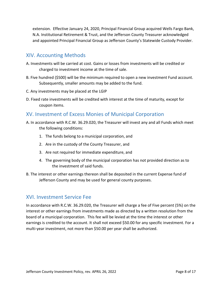extension. Effective January 24, 2020, Principal Financial Group acquired Wells Fargo Bank, N.A. Institutional Retirement & Trust, and the Jefferson County Treasurer acknowledged and appointed Principal Financial Group as Jefferson County's Statewide Custody Provider.

#### <span id="page-8-0"></span>XIV. Accounting Methods

- A. Investments will be carried at cost. Gains or losses from investments will be credited or charged to investment income at the time of sale.
- B. Five hundred (\$500) will be the minimum required to open a new investment Fund account. Subsequently, smaller amounts may be added to the fund.
- C. Any investments may be placed at the LGIP
- D. Fixed rate investments will be credited with interest at the time of maturity, except for coupon items.

#### <span id="page-8-1"></span>XV. Investment of Excess Monies of Municipal Corporation

- A. In accordance with R.C.W. 36.29.020, the Treasurer will invest any and all Funds which meet the following conditions:
	- 1. The funds belong to a municipal corporation, and
	- 2. Are in the custody of the County Treasurer, and
	- 3. Are not required for immediate expenditure, and
	- 4. The governing body of the municipal corporation has not provided direction as to the investment of said funds.
- B. The interest or other earnings thereon shall be deposited in the current Expense fund of Jefferson County and may be used for general county purposes.

#### <span id="page-8-2"></span>XVI. Investment Service Fee

In accordance with R.C.W. 36.29.020, the Treasurer will charge a fee of Five percent (5%) on the interest or other earnings from investments made as directed by a written resolution from the board of a municipal corporation. This fee will be levied at the time the interest or other earnings is credited to the account. It shall not exceed \$50.00 for any specific investment. For a multi-year investment, not more than \$50.00 per year shall be authorized.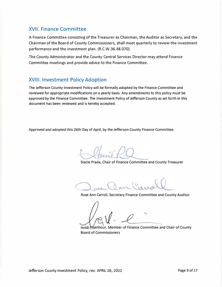#### XVII. **Finance Committee**

A Finance Committee consisting of the Treasurer as Chairman, the Auditor as Secretary, and the Chairman of the Board of County Commissioners, shall meet quarterly to review the investment performance and the investment plan. (R.C.W.36.48.070)

The County Administrator and the County Central Services Director may attend Finance Committee meetings and provide advice to the Finance Committee.

#### XVIII. **Investment Policy Adoption**

The Jefferson County Investment Policy will be formally adopted by the Finance Committee and reviewed for appropriate modifications on a yearly basis. Any amendments to this policy must be approved by the Finance Committee. The Investment Policy of Jefferson County as set forth in this document has been reviewed and is hereby accepted.

Approved and adopted this 26th Day of April, by the Jefferson County Finance Committee.

Stacie Prada, Chair of Finance Committee and County Treasurer

Rose Ann Carroll, Secretary Finance Committee and County Auditor

Heidi Efsenhour, Member of Finance Committee and Chair of County Board of Commissioners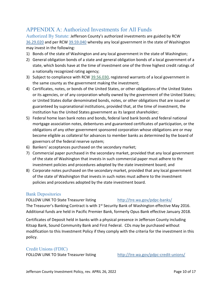# <span id="page-10-0"></span>APPENDIX A: Authorized Investments for All Funds

<span id="page-10-1"></span>Authorized By Statute: Jefferson County's authorized investments are guided by RCW [36.29.020](http://app.leg.wa.gov/RCW/default.aspx?cite=36.29.020) and per RCW [39.59.040](http://app.leg.wa.gov/RCW/default.aspx?cite=39.59.040) whereby any local government in the state of Washington may invest in the following:

- 1) Bonds of the state of Washington and any local government in the state of Washington;
- 2) General obligation bonds of a state and general obligation bonds of a local government of a state, which bonds have at the time of investment one of the three highest credit ratings of a nationally recognized rating agency;
- 3) Subject to compliance with RCW [39.56.030,](http://app.leg.wa.gov/RCW/default.aspx?cite=39.56.030) registered warrants of a local government in the same county as the government making the investment;
- 4) Certificates, notes, or bonds of the United States, or other obligations of the United States or its agencies, or of any corporation wholly owned by the government of the United States; or United States dollar denominated bonds, notes, or other obligations that are issued or guaranteed by supranational institutions, provided that, at the time of investment, the institution has the United States government as its largest shareholder;
- 5) Federal home loan bank notes and bonds, federal land bank bonds and federal national mortgage association notes, debentures and guaranteed certificates of participation, or the obligations of any other government sponsored corporation whose obligations are or may become eligible as collateral for advances to member banks as determined by the board of governors of the federal reserve system;
- 6) Bankers' acceptances purchased on the secondary market;
- 7) Commercial paper purchased in the secondary market, provided that any local government of the state of Washington that invests in such commercial paper must adhere to the investment policies and procedures adopted by the state investment board; and
- 8) Corporate notes purchased on the secondary market, provided that any local government of the state of Washington that invests in such notes must adhere to the investment policies and procedures adopted by the state investment board.

#### <span id="page-10-2"></span>Bank Depositories

FOLLOW LINK TO State Treasurer listing <http://tre.wa.gov/pdpc-banks/> The Treasurer's Banking Contract is with 1<sup>st</sup> Security Bank of Washington effective May 2016. Additional funds are held in Pacific Premier Bank, formerly Opus Bank effective January 2018.

Certificates of Deposit held in banks with a physical presence in Jefferson County including Kitsap Bank, Sound Community Bank and First Federal. CDs may be purchased without modification to this Investment Policy if they comply with the criteria for the investment in this policy.

#### <span id="page-10-3"></span>Credit Unions (FDIC)

FOLLOW LINK TO State Treasurer listing <http://tre.wa.gov/pdpc-credit-unions/>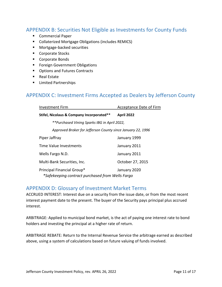#### <span id="page-11-0"></span>APPENDIX B: Securities Not Eligible as Investments for County Funds

- **Commercial Paper**
- **E** Collaterized Mortgage Obligations (includes REMICS)
- **Mortgage-backed securities**
- Corporate Stocks
- Corporate Bonds
- **Foreign Government Obligations**
- **•** Options and Futures Contracts
- Real Estate
- **EXECUTE:** Limited Partnerships

#### <span id="page-11-1"></span>APPENDIX C: Investment Firms Accepted as Dealers by Jefferson County

| <b>Investment Firm</b>                                                                         | <b>Acceptance Date of Firm</b> |  |
|------------------------------------------------------------------------------------------------|--------------------------------|--|
| Stifel, Nicolaus & Company Incorporated**                                                      | <b>April 2022</b>              |  |
| <i>**Purchased Vining Sparks IBG in April 2022,</i>                                            |                                |  |
| Approved Broker for Jefferson County since January 22, 1996                                    |                                |  |
| Piper Jaffray                                                                                  | January 1999                   |  |
| Time Value Investments                                                                         | January 2011                   |  |
| Wells Fargo N.D.                                                                               | January 2011                   |  |
| Multi-Bank Securities, Inc.                                                                    | October 27, 2015               |  |
| Principal Financial Group*<br>January 2020<br>*Safekeeping contract purchased from Wells Fargo |                                |  |

#### <span id="page-11-2"></span>APPENDIX D: Glossary of Investment Market Terms

ACCRUED INTEREST: Interest due on a security from the issue date, or from the most recent interest payment date to the present. The buyer of the Security pays principal plus accrued interest.

ARBITRAGE: Applied to municipal bond market, is the act of paying one interest rate to bond holders and investing the principal at a higher rate of return.

ARBITRAGE REBATE: Return to the Internal Revenue Service the arbitrage earned as described above, using a system of calculations based on future valuing of funds involved.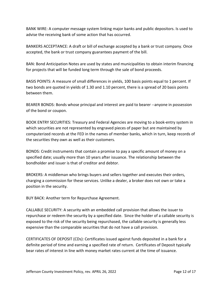BANK WIRE: A computer message system linking major banks and public depositors. Is used to advise the receiving bank of some action that has occurred.

BANKERS ACCEPTANCE: A draft or bill of exchange accepted by a bank or trust company. Once accepted, the bank or trust company guarantees payment of the bill.

BAN: Bond Anticipation Notes are used by states and municipalities to obtain interim financing for projects that will be funded long term through the sale of bond proceeds.

BASIS POINTS: A measure of small differences in yields, 100 basis points equal to 1 percent. If two bonds are quoted in yields of 1.30 and 1.10 percent, there is a spread of 20 basis points between them.

BEARER BONDS: Bonds whose principal and interest are paid to bearer --anyone in possession of the bond or coupon.

BOOK ENTRY SECURITIES: Treasury and Federal Agencies are moving to a book-entry system in which securities are not represented by engraved pieces of paper but are maintained by computerized records at the FED in the names of member banks, which in turn, keep records of the securities they own as well as their customers.

BONDS: Credit instruments that contain a promise to pay a specific amount of money on a specified date; usually more than 10 years after issuance. The relationship between the bondholder and issuer is that of creditor and debtor.

BROKERS: A middleman who brings buyers and sellers together and executes their orders, charging a commission for these services. Unlike a dealer, a broker does not own or take a position in the security.

BUY BACK: Another term for Repurchase Agreement.

CALLABLE SECURITY: A security with an embedded call provision that allows the issuer to repurchase or redeem the security by a specified date. Since the holder of a callable security is exposed to the risk of the security being repurchased, the callable security is generally less expensive than the comparable securities that do not have a call provision.

CERTIFICATES OF DEPOSIT (CDs): Certificates issued against funds deposited in a bank for a definite period of time and earning a specified rate of return. Certificates of Deposit typically bear rates of interest in line with money market rates current at the time of issuance.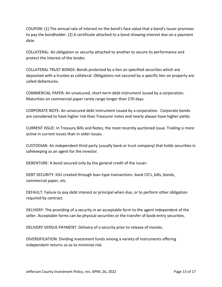COUPON: (1) The annual rate of interest on the bond's face value that a bond's issuer promises to pay the bondholder. (2) A certificate attached to a bond showing interest due on a payment date.

COLLATERAL: An obligation or security attached to another to secure its performance and protect the interest of the lender.

COLLATERAL TRUST BONDS: Bonds protected by a lien on specified securities which are deposited with a trustee as collateral. Obligations not secured by a specific lien on property are called debentures.

COMMERCIAL PAPER: An unsecured, short-term debt instrument issued by a corporation. Maturities on commercial paper rarely range longer than 270 days.

CORPORATE NOTE: An unsecured debt instrument issued by a corporation. Corporate bonds are considered to have higher risk than Treasurer notes and nearly always have higher yields.

CURRENT ISSUE: In Treasury Bills and Notes, the most recently auctioned issue. Trading is more active in current issues than in older issues.

CUSTODIAN: An independent third party (usually bank or trust company) that holds securities in safekeeping as an agent for the investor.

DEBENTURE: A bond secured only by the general credit of the issuer.

DEBT SECURITY: IOU created through loan-type transactions -bank CD's, bills, bonds, commercial paper, etc.

DEFAULT: Failure to pay debt interest or principal when due, or to perform other obligation required by contract.

DELIVERY: The providing of a security in an acceptable form to the agent independent of the seller. Acceptable forms can be physical securities or the transfer of book-entry securities.

DELIVERY VERSUS PAYMENT: Delivery of a security prior to release of monies.

DIVERSIFICATION: Dividing investment funds among a variety of instruments offering independent returns so as to minimize risk.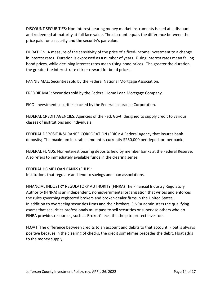DISCOUNT SECURITIES: Non-interest bearing money market instruments issued at a discount and redeemed at maturity at full face value. The discount equals the difference between the price paid for a security and the security's par value.

DURATION: A measure of the sensitivity of the price of a fixed-income investment to a change in interest rates. Duration is expressed as a number of years. Rising interest rates mean falling bond prices, while declining interest rates mean rising bond prices. The greater the duration, the greater the interest-rate risk or reward for bond prices.

FANNIE MAE: Securities sold by the Federal National Mortgage Association.

FREDDIE MAC: Securities sold by the Federal Home Loan Mortgage Company.

FICO: Investment securities backed by the Federal Insurance Corporation.

FEDERAL CREDIT AGENCIES: Agencies of the Fed. Govt. designed to supply credit to various classes of institutions and individuals.

FEDERAL DEPOSIT INSURANCE CORPORATION (FDIC): A Federal Agency that insures bank deposits; The maximum insurable amount is currently \$250,000 per depositor, per bank.

FEDERAL FUNDS: Non-interest bearing deposits held by member banks at the Federal Reserve. Also refers to immediately available funds in the clearing sense.

FEDERAL HOME LOAN BANKS (FHLB): Institutions that regulate and lend to savings and loan associations.

FINANCIAL INDUSTRY REGULATORY AUTHORITY (FINRA) The Financial Industry Regulatory Authority (FINRA) is an independent, nongovernmental organization that writes and enforces the rules governing registered brokers and broker-dealer firms in the United States. In addition to overseeing securities firms and their brokers, FINRA administers the qualifying exams that securities professionals must pass to sell securities or supervise others who do. FINRA provides resources, such as BrokerCheck, that help to protect investors.

FLOAT: The difference between credits to an account and debits to that account. Float is always positive because in the clearing of checks, the credit sometimes precedes the debit. Float adds to the money supply.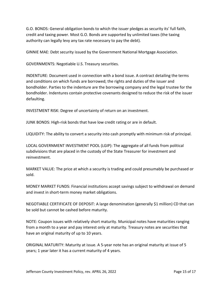G.O. BONDS: General obligation bonds to which the issuer pledges as security its' full faith, credit and taxing power. Most G.O. Bonds are supported by unlimited taxes (the taxing authority can legally levy any tax rate necessary to pay the debt).

GINNIE MAE: Debt security issued by the Government National Mortgage Association.

GOVERNMENTS: Negotiable U.S. Treasury securities.

INDENTURE: Document used in connection with a bond issue. A contract detailing the terms and conditions on which funds are borrowed; the rights and duties of the issuer and bondholder. Parties to the indenture are the borrowing company and the legal trustee for the bondholder. Indentures contain protective covenants designed to reduce the risk of the issuer defaulting.

INVESTMENT RISK: Degree of uncertainty of return on an investment.

JUNK BONDS: High-risk bonds that have low credit rating or are in default.

LIQUIDITY: The ability to convert a security into cash promptly with minimum risk of principal.

LOCAL GOVERNMENT INVESTMENT POOL (LGIP): The aggregate of all funds from political subdivisions that are placed in the custody of the State Treasurer for investment and reinvestment.

MARKET VALUE: The price at which a security is trading and could presumably be purchased or sold.

MONEY MARKET FUNDS: Financial institutions accept savings subject to withdrawal on demand and invest in short-term money market obligations.

NEGOTIABLE CERTIFICATE OF DEPOSIT: A large denomination (generally \$1 million) CD that can be sold but cannot be cashed before maturity.

NOTE: Coupon issues with relatively short maturity. Municipal notes have maturities ranging from a month to a year and pay interest only at maturity. Treasury notes are securities that have an original maturity of up to 10 years.

ORIGINAL MATURITY: Maturity at issue. A 5-year note has an original maturity at issue of 5 years; 1 year later it has a current maturity of 4 years.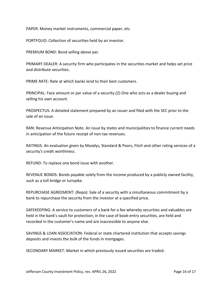PAPER: Money market instruments, commercial paper, etc.

PORTFOLIO: Collection of securities held by an investor.

PREMIUM BOND: Bond selling above par.

PRIMARY DEALER: A security firm who participates in the securities market and helps set price and distribute securities.

PRIME RATE: Rate at which banks lend to their best customers.

PRINCIPAL: Face amount or par value of a security.(2) One who acts as a dealer buying and selling his own account.

PROSPECTUS: A detailed statement prepared by an issuer and filed with the SEC prior to the sale of an issue.

RAN: Revenue Anticipation Note. An issue by states and municipalities to finance current needs in anticipation of the future receipt of non-tax revenues.

RATINGS: An evaluation given by Moodys, Standard & Poors, Fitch and other rating services of a security's credit worthiness.

REFUND: To replace one bond issue with another.

REVENUE BONDS: Bonds payable solely from the income produced by a publicly owned facility, such as a toll bridge or turnpike.

REPURCHASE AGREEMENT: (Repo): Sale of a security with a simultaneous commitment by a bank to repurchase the security from the investor at a specified price.

SAFEKEEPING: A service to customers of a bank for a fee whereby securities and valuables are held in the bank's vault for protection; in the case of book-entry securities, are held and recorded in the customer's name and are inaccessible to anyone else.

SAVINGS & LOAN ASSOCIATION: Federal or state chartered institution that accepts savings deposits and invests the bulk of the funds in mortgages.

SECONDARY MARKET: Market in which previously issued securities are traded.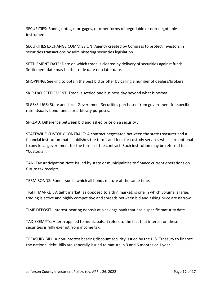SECURITIES: Bonds, notes, mortgages, or other forms of negotiable or non-negotiable instruments.

SECURITIES EXCHANGE COMMISSION: Agency created by Congress to protect investors in securities transactions by administering securities legislation.

SETTLEMENT DATE: Date on which trade is cleared by delivery of securities against funds. Settlement date may be the trade date or a later date.

SHOPPING: Seeking to obtain the best bid or offer by calling a number of dealers/brokers.

SKIP-DAY SETTLEMENT: Trade is settled one business day beyond what is normal.

SLGS/SLUGS: State and Local Government Securities purchased from government for specified rate. Usually bond funds for arbitrary purposes.

SPREAD: Difference between bid and asked price on a security .

STATEWIDE CUSTODY CONTRACT: A contract negotiated between the state treasurer and a financial institution that establishes the terms and fees for custody services which are optional to any local government for the terms of the contract. Such institution may be referred to as "Custodian."

TAN: Tax Anticipation Note issued by state or municipalities to finance current operations on future tax receipts.

TERM BONDS: Bond issue in which all bonds mature at the same time.

TIGHT MARKET: A tight market, as opposed to a thin market, is one in which volume is large, trading is active and highly competitive and spreads between bid and asking price are narrow.

TIME DEPOSIT: Interest-bearing deposit at a savings bank that has a specific maturity date.

TAX-EXEMPTs: A term applied to municipals, it refers to the fact that interest on these securities is fully exempt from income tax.

TREASURY BILL: A non-interest bearing discount security issued by the U.S. Treasury to finance the national debt. Bills are generally issued to mature in 3 and 6 months or 1 year.